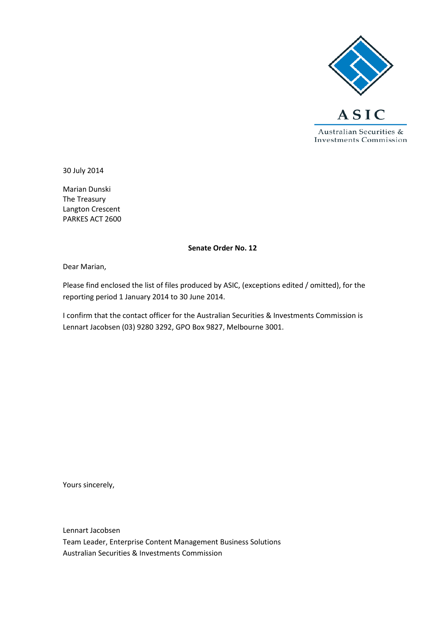

30 July 2014

Marian Dunski The Treasury Langton Crescent PARKES ACT 2600

#### **Senate Order No. 12**

Dear Marian,

Please find enclosed the list of files produced by ASIC, (exceptions edited / omitted), for the reporting period 1 January 2014 to 30 June 2014.

I confirm that the contact officer for the Australian Securities & Investments Commission is Lennart Jacobsen (03) 9280 3292, GPO Box 9827, Melbourne 3001.

Yours sincerely,

Lennart Jacobsen Team Leader, Enterprise Content Management Business Solutions Australian Securities & Investments Commission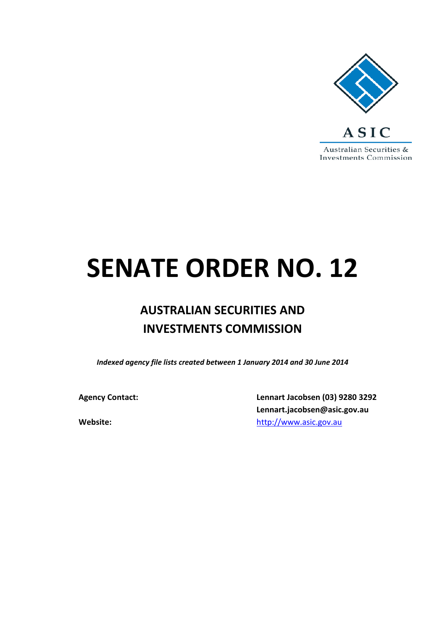

# **SENATE ORDER NO. 12**

## **AUSTRALIAN SECURITIES AND INVESTMENTS COMMISSION**

*Indexed agency file lists created between 1 January 2014 and 30 June 2014*

**Agency Contact: Lennart Jacobsen (03) 9280 3292 Lennart.jacobsen@asic.gov.au Website:** [http://www.asic.gov.au](http://www.asic.gov.au/)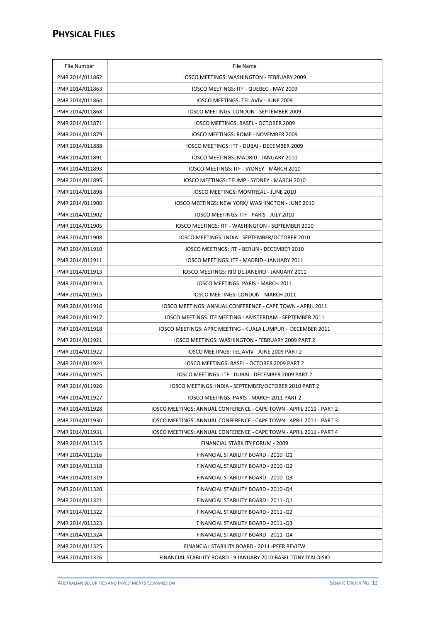| File Number     | File Name                                                           |  |
|-----------------|---------------------------------------------------------------------|--|
| PMR 2014/011862 | IOSCO MEETINGS: WASHINGTON - FEBRUARY 2009                          |  |
| PMR 2014/011863 | IOSCO MEETINGS: ITF - QUEBEC - MAY 2009                             |  |
| PMR 2014/011864 | IOSCO MEETINGS: TEL AVIV - JUNE 2009                                |  |
| PMR 2014/011868 | IOSCO MEETINGS: LONDON - SEPTEMBER 2009                             |  |
| PMR 2014/011871 | IOSCO MEETINGS: BASEL - OCTOBER 2009                                |  |
| PMR 2014/011879 | IOSCO MEETINGS: ROME - NOVEMBER 2009                                |  |
| PMR 2014/011888 | IOSCO MEETINGS: ITF - DUBAI - DECEMBER 2009                         |  |
| PMR 2014/011891 | IOSCO MEETINGS: MADRID - JANUARY 2010                               |  |
| PMR 2014/011893 | IOSCO MEETINGS: ITF - SYDNEY - MARCH 2010                           |  |
| PMR 2014/011895 | IOSCO MEETINGS: TFUMP - SYDNEY - MARCH 2010                         |  |
| PMR 2014/011898 | IOSCO MEETINGS: MONTREAL - JUNE 2010                                |  |
| PMR 2014/011900 | <b>IOSCO MEETINGS: NEW YORK/ WASHINGTON - JUNE 2010</b>             |  |
| PMR 2014/011902 | IOSCO MEETINGS: ITF - PARIS - JULY 2010                             |  |
| PMR 2014/011905 | IOSCO MEETINGS: ITF - WASHINGTON - SEPTEMBER 2010                   |  |
| PMR 2014/011908 | IOSCO MEETINGS: INDIA - SEPTEMBER/OCTOBER 2010                      |  |
| PMR 2014/011910 | IOSCO MEETINGS: ITF - BERLIN - DECEMBER 2010                        |  |
| PMR 2014/011911 | IOSCO MEETINGS: ITF - MADRID - JANUARY 2011                         |  |
| PMR 2014/011913 | IOSCO MEETINGS: RIO DE JANEIRO - JANUARY 2011                       |  |
| PMR 2014/011914 | IOSCO MEETINGS: PARIS - MARCH 2011                                  |  |
| PMR 2014/011915 | IOSCO MEETINGS: LONDON - MARCH 2011                                 |  |
| PMR 2014/011916 | IOSCO MEETINGS: ANNUAL CONFERENCE - CAPE TOWN - APRIL 2011          |  |
| PMR 2014/011917 | IOSCO MEETINGS: ITF MEETING - AMSTERDAM - SEPTEMBER 2011            |  |
| PMR 2014/011918 | IOSCO MEETINGS: APRC MEETING - KUALA LUMPUR - DECEMBER 2011         |  |
| PMR 2014/011921 | IOSCO MEETINGS: WASHINGTON - FEBRUARY 2009 PART 2                   |  |
| PMR 2014/011922 | IOSCO MEETINGS: TEL AVIV - JUNE 2009 PART 2                         |  |
| PMR 2014/011924 | IOSCO MEETINGS: BASEL - OCTOBER 2009 PART 2                         |  |
| PMR 2014/011925 | IOSCO MEETINGS: ITF - DUBAI - DECEMBER 2009 PART 2                  |  |
| PMR 2014/011926 | IOSCO MEETINGS: INDIA - SEPTEMBER/OCTOBER 2010 PART 2               |  |
| PMR 2014/011927 | IOSCO MEETINGS: PARIS - MARCH 2011 PART 2                           |  |
| PMR 2014/011928 | IOSCO MEETINGS: ANNUAL CONFERENCE - CAPE TOWN - APRIL 2011 - PART 2 |  |
| PMR 2014/011930 | IOSCO MEETINGS: ANNUAL CONFERENCE - CAPE TOWN - APRIL 2011 - PART 3 |  |
| PMR 2014/011931 | IOSCO MEETINGS: ANNUAL CONFERENCE - CAPE TOWN - APRIL 2011 - PART 4 |  |
| PMR 2014/011315 | FINANCIAL STABILITY FORUM - 2009                                    |  |
| PMR 2014/011316 | FINANCIAL STABILITY BOARD - 2010 -Q1                                |  |
| PMR 2014/011318 | FINANCIAL STABILITY BOARD - 2010 - Q2                               |  |
| PMR 2014/011319 | FINANCIAL STABILITY BOARD - 2010 -Q3                                |  |
| PMR 2014/011320 | FINANCIAL STABILITY BOARD - 2010 -Q4                                |  |
| PMR 2014/011321 | FINANCIAL STABILITY BOARD - 2011 -Q1                                |  |
| PMR 2014/011322 | FINANCIAL STABILITY BOARD - 2011 - Q2                               |  |
| PMR 2014/011323 | FINANCIAL STABILITY BOARD - 2011 -Q3                                |  |
| PMR 2014/011324 | FINANCIAL STABILITY BOARD - 2011 - Q4                               |  |
| PMR 2014/011325 | FINANCIAL STABILITY BOARD - 2011 -PEER REVIEW                       |  |
| PMR 2014/011326 | FINANCIAL STABILITY BOARD - 9 JANUARY 2010 BASEL TONY D'ALOISIO     |  |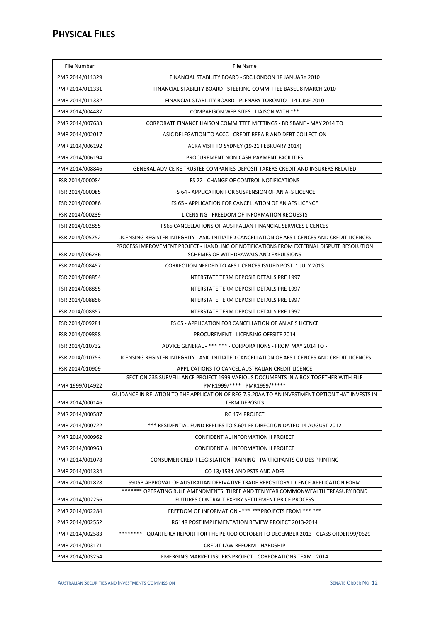| File Number                                                                                                                            | File Name                                                                                                                            |  |
|----------------------------------------------------------------------------------------------------------------------------------------|--------------------------------------------------------------------------------------------------------------------------------------|--|
| PMR 2014/011329                                                                                                                        | FINANCIAL STABILITY BOARD - SRC LONDON 18 JANUARY 2010                                                                               |  |
| PMR 2014/011331                                                                                                                        | FINANCIAL STABILITY BOARD - STEERING COMMITTEE BASEL 8 MARCH 2010                                                                    |  |
| PMR 2014/011332                                                                                                                        | FINANCIAL STABILITY BOARD - PLENARY TORONTO - 14 JUNE 2010                                                                           |  |
| PMR 2014/004487                                                                                                                        | COMPARISON WEB SITES - LIAISON WITH ***                                                                                              |  |
| PMR 2014/007633                                                                                                                        | CORPORATE FINANCE LIAISON COMMITTEE MEETINGS - BRISBANE - MAY 2014 TO                                                                |  |
| PMR 2014/002017                                                                                                                        | ASIC DELEGATION TO ACCC - CREDIT REPAIR AND DEBT COLLECTION                                                                          |  |
| PMR 2014/006192                                                                                                                        | ACRA VISIT TO SYDNEY (19-21 FEBRUARY 2014)                                                                                           |  |
| PMR 2014/006194                                                                                                                        | PROCUREMENT NON-CASH PAYMENT FACILITIES                                                                                              |  |
| PMR 2014/008846                                                                                                                        | GENERAL ADVICE RE TRUSTEE COMPANIES-DEPOSIT TAKERS CREDIT AND INSURERS RELATED                                                       |  |
| FSR 2014/000084                                                                                                                        | FS 22 - CHANGE OF CONTROL NOTIFICATIONS                                                                                              |  |
| FSR 2014/000085                                                                                                                        | FS 64 - APPLICATION FOR SUSPENSION OF AN AFS LICENCE                                                                                 |  |
| FSR 2014/000086                                                                                                                        | <b>FS 65 - APPLICATION FOR CANCELLATION OF AN AFS LICENCE</b>                                                                        |  |
| FSR 2014/000239                                                                                                                        | LICENSING - FREEDOM OF INFORMATION REQUESTS                                                                                          |  |
| FSR 2014/002855                                                                                                                        | FS65 CANCELLATIONS OF AUSTRALIAN FINANCIAL SERVICES LICENCES                                                                         |  |
| FSR 2014/005752                                                                                                                        | LICENSING REGISTER INTEGRITY - ASIC-INITIATED CANCELLATION OF AFS LICENCES AND CREDIT LICENCES                                       |  |
| FSR 2014/006236                                                                                                                        | PROCESS IMPROVEMENT PROJECT - HANDLING OF NOTIFICATIONS FROM EXTERNAL DISPUTE RESOLUTION<br>SCHEMES OF WITHDRAWALS AND EXPULSIONS    |  |
| FSR 2014/008457<br>CORRECTION NEEDED TO AFS LICENCES ISSUED POST 1 JULY 2013                                                           |                                                                                                                                      |  |
| FSR 2014/008854<br>INTERSTATE TERM DEPOSIT DETAILS PRE 1997                                                                            |                                                                                                                                      |  |
| FSR 2014/008855<br>INTERSTATE TERM DEPOSIT DETAILS PRE 1997                                                                            |                                                                                                                                      |  |
| FSR 2014/008856                                                                                                                        | INTERSTATE TERM DEPOSIT DETAILS PRE 1997                                                                                             |  |
| FSR 2014/008857                                                                                                                        | INTERSTATE TERM DEPOSIT DETAILS PRE 1997                                                                                             |  |
| FSR 2014/009281                                                                                                                        | FS 65 - APPLICATION FOR CANCELLATION OF AN AF S LICENCE                                                                              |  |
| FSR 2014/009898                                                                                                                        | PROCUREMENT - LICENSING OFFSITE 2014                                                                                                 |  |
| FSR 2014/010732                                                                                                                        | ADVICE GENERAL - *** *** - CORPORATIONS - FROM MAY 2014 TO -                                                                         |  |
| FSR 2014/010753                                                                                                                        | LICENSING REGISTER INTEGRITY - ASIC-INITIATED CANCELLATION OF AFS LICENCES AND CREDIT LICENCES                                       |  |
| FSR 2014/010909                                                                                                                        | APPLICATIONS TO CANCEL AUSTRALIAN CREDIT LICENCE                                                                                     |  |
| SECTION 235 SURVEILLANCE PROJECT 1999 VARIOUS DOCUMENTS IN A BOX TOGETHER WITH FILE<br>PMR1999/**** - PMR1999/*****<br>PMR 1999/014922 |                                                                                                                                      |  |
| PMR 2014/000146                                                                                                                        | GUIDANCE IN RELATION TO THE APPLICATION OF REG 7.9.20AA TO AN INVESTMENT OPTION THAT INVESTS IN<br><b>TERM DEPOSITS</b>              |  |
| PMR 2014/000587                                                                                                                        | RG 174 PROJECT                                                                                                                       |  |
| PMR 2014/000722                                                                                                                        | *** RESIDENTIAL FUND REPLIES TO S.601 FF DIRECTION DATED 14 AUGUST 2012                                                              |  |
| PMR 2014/000962                                                                                                                        | CONFIDENTIAL INFORMATION II PROJECT                                                                                                  |  |
| PMR 2014/000963                                                                                                                        | CONFIDENTIAL INFORMATION II PROJECT                                                                                                  |  |
| PMR 2014/001078                                                                                                                        | CONSUMER CREDIT LEGISLATION TRAINING - PARTICIPANTS GUIDES PRINTING                                                                  |  |
| PMR 2014/001334                                                                                                                        | CO 13/1534 AND PSTS AND ADFS                                                                                                         |  |
| PMR 2014/001828                                                                                                                        | S905B APPROVAL OF AUSTRALIAN DERIVATIVE TRADE REPOSITORY LICENCE APPLICATION FORM                                                    |  |
| PMR 2014/002256                                                                                                                        | ******* OPERATING RULE AMENDMENTS: THREE AND TEN YEAR COMMONWEALTH TREASURY BOND<br>FUTURES CONTRACT EXPIRY SETTLEMENT PRICE PROCESS |  |
| PMR 2014/002284                                                                                                                        | FREEDOM OF INFORMATION - *** *** PROJECTS FROM *** ***                                                                               |  |
| PMR 2014/002552                                                                                                                        | RG148 POST IMPLEMENTATION REVIEW PROJECT 2013-2014                                                                                   |  |
| PMR 2014/002583                                                                                                                        | ******** - QUARTERLY REPORT FOR THE PERIOD OCTOBER TO DECEMBER 2013 - CLASS ORDER 99/0629                                            |  |
| PMR 2014/003171                                                                                                                        | CREDIT LAW REFORM - HARDSHIP                                                                                                         |  |
| PMR 2014/003254                                                                                                                        | <b>EMERGING MARKET ISSUERS PROJECT - CORPORATIONS TEAM - 2014</b>                                                                    |  |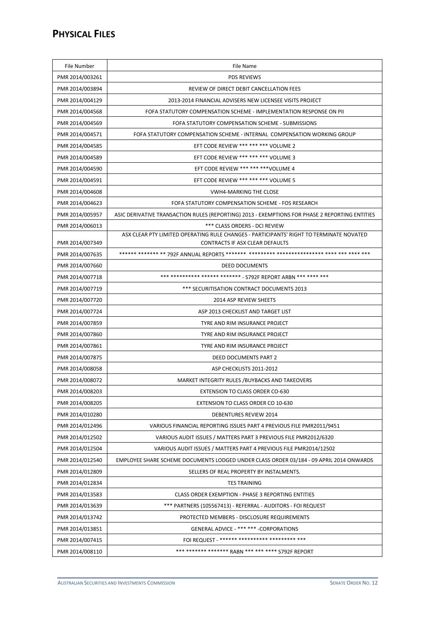| File Number     | File Name                                                                                                                  |  |
|-----------------|----------------------------------------------------------------------------------------------------------------------------|--|
| PMR 2014/003261 | <b>PDS REVIEWS</b>                                                                                                         |  |
| PMR 2014/003894 | REVIEW OF DIRECT DEBIT CANCELLATION FEES                                                                                   |  |
| PMR 2014/004129 | 2013-2014 FINANCIAL ADVISERS NEW LICENSEE VISITS PROJECT                                                                   |  |
| PMR 2014/004568 | FOFA STATUTORY COMPENSATION SCHEME - IMPLEMENTATION RESPONSE ON PII                                                        |  |
| PMR 2014/004569 | FOFA STATUTORY COMPENSATION SCHEME - SUBMISSIONS                                                                           |  |
| PMR 2014/004571 | FOFA STATUTORY COMPENSATION SCHEME - INTERNAL COMPENSATION WORKING GROUP                                                   |  |
| PMR 2014/004585 | EFT CODE REVIEW *** *** *** VOLUME 2                                                                                       |  |
| PMR 2014/004589 | EFT CODE REVIEW *** *** *** VOLUME 3                                                                                       |  |
| PMR 2014/004590 | EFT CODE REVIEW *** *** *** VOLUME 4                                                                                       |  |
| PMR 2014/004591 | EFT CODE REVIEW *** *** *** VOLUME 5                                                                                       |  |
| PMR 2014/004608 | <b>VWH4-MARKING THE CLOSE</b>                                                                                              |  |
| PMR 2014/004623 | FOFA STATUTORY COMPENSATION SCHEME - FOS RESEARCH                                                                          |  |
| PMR 2014/005957 | ASIC DERIVATIVE TRANSACTION RULES (REPORTING) 2013 - EXEMPTIONS FOR PHASE 2 REPORTING ENTITIES                             |  |
| PMR 2014/006013 | *** CLASS ORDERS - DCI REVIEW                                                                                              |  |
| PMR 2014/007349 | ASX CLEAR PTY LIMITED OPERATING RULE CHANGES - PARTICIPANTS' RIGHT TO TERMINATE NOVATED<br>CONTRACTS IF ASX CLEAR DEFAULTS |  |
| PMR 2014/007635 |                                                                                                                            |  |
| PMR 2014/007660 | <b>DEED DOCUMENTS</b>                                                                                                      |  |
| PMR 2014/007718 | *** ********** ****** ******* - S792F REPORT ARBN *** **** ***                                                             |  |
| PMR 2014/007719 | *** SECURITISATION CONTRACT DOCUMENTS 2013                                                                                 |  |
| PMR 2014/007720 | 2014 ASP REVIEW SHEETS                                                                                                     |  |
| PMR 2014/007724 | ASP 2013 CHECKLIST AND TARGET LIST                                                                                         |  |
| PMR 2014/007859 | TYRE AND RIM INSURANCE PROJECT                                                                                             |  |
| PMR 2014/007860 | TYRE AND RIM INSURANCE PROJECT                                                                                             |  |
| PMR 2014/007861 | TYRE AND RIM INSURANCE PROJECT                                                                                             |  |
| PMR 2014/007875 | <b>DEED DOCUMENTS PART 2</b>                                                                                               |  |
| PMR 2014/008058 | ASP CHECKLISTS 2011-2012                                                                                                   |  |
| PMR 2014/008072 | MARKET INTEGRITY RULES / BUYBACKS AND TAKEOVERS                                                                            |  |
| PMR 2014/008203 | <b>EXTENSION TO CLASS ORDER CO-630</b>                                                                                     |  |
| PMR 2014/008205 | <b>EXTENSION TO CLASS ORDER CO 10-630</b>                                                                                  |  |
| PMR 2014/010280 | DEBENTURES REVIEW 2014                                                                                                     |  |
| PMR 2014/012496 | VARIOUS FINANCIAL REPORTING ISSUES PART 4 PREVIOUS FILE PMR2011/9451                                                       |  |
| PMR 2014/012502 | VARIOUS AUDIT ISSUES / MATTERS PART 3 PREVIOUS FILE PMR2012/6320                                                           |  |
| PMR 2014/012504 | VARIOUS AUDIT ISSUES / MATTERS PART 4 PREVIOUS FILE PMR2014/12502                                                          |  |
| PMR 2014/012540 | EMPLOYEE SHARE SCHEME DOCUMENTS LODGED UNDER CLASS ORDER 03/184 - 09 APRIL 2014 ONWARDS                                    |  |
| PMR 2014/012809 | SELLERS OF REAL PROPERTY BY INSTALMENTS.                                                                                   |  |
| PMR 2014/012834 | <b>TES TRAINING</b>                                                                                                        |  |
| PMR 2014/013583 | CLASS ORDER EXEMPTION - PHASE 3 REPORTING ENTITIES                                                                         |  |
| PMR 2014/013639 | *** PARTNERS (105567413) - REFERRAL - AUDITORS - FOI REQUEST                                                               |  |
| PMR 2014/013742 | PROTECTED MEMBERS - DISCLOSURE REQUIREMENTS                                                                                |  |
| PMR 2014/013851 | GENERAL ADVICE - *** *** - CORPORATIONS                                                                                    |  |
| PMR 2014/007415 | FOI REQUEST - ****** *********** ********* ***                                                                             |  |
| PMR 2014/008110 | *** ******* ******* RABN *** *** **** S792F REPORT                                                                         |  |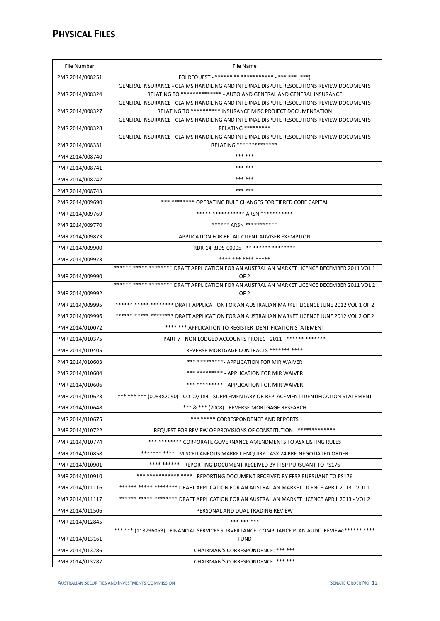| File Number                                                                                  | <b>File Name</b>                                                                                                                                              |  |
|----------------------------------------------------------------------------------------------|---------------------------------------------------------------------------------------------------------------------------------------------------------------|--|
| PMR 2014/008251                                                                              | FOI REQUEST - ****** ** ************ - *** *** (***)                                                                                                          |  |
| PMR 2014/008324                                                                              | GENERAL INSURANCE - CLAIMS HANDILING AND INTERNAL DISPUTE RESOLUTIONS REVIEW DOCUMENTS<br>RELATING TO ************** - AUTO AND GENERAL AND GENERAL INSURANCE |  |
|                                                                                              | GENERAL INSURANCE - CLAIMS HANDILING AND INTERNAL DISPUTE RESOLUTIONS REVIEW DOCUMENTS<br>RELATING TO ********** INSURANCE MISC PROJECT DOCUMENTATION         |  |
| PMR 2014/008327                                                                              | GENERAL INSURANCE - CLAIMS HANDILING AND INTERNAL DISPUTE RESOLUTIONS REVIEW DOCUMENTS                                                                        |  |
| PMR 2014/008328                                                                              | RELATING **********                                                                                                                                           |  |
| PMR 2014/008331                                                                              | GENERAL INSURANCE - CLAIMS HANDILING AND INTERNAL DISPUTE RESOLUTIONS REVIEW DOCUMENTS<br>RELATING ***************                                            |  |
| PMR 2014/008740                                                                              | *** ***                                                                                                                                                       |  |
| PMR 2014/008741                                                                              | *** ***                                                                                                                                                       |  |
| PMR 2014/008742                                                                              | *** ***                                                                                                                                                       |  |
| PMR 2014/008743                                                                              | *** ***                                                                                                                                                       |  |
| PMR 2014/009690                                                                              | *** ******** OPERATING RULE CHANGES FOR TIERED CORE CAPITAL                                                                                                   |  |
| PMR 2014/009769                                                                              |                                                                                                                                                               |  |
| PMR 2014/009770                                                                              | ****** ARSN ************                                                                                                                                      |  |
| PMR 2014/009873                                                                              | APPLICATION FOR RETAIL CLIENT ADVISER EXEMPTION                                                                                                               |  |
| PMR 2014/009900                                                                              | RDR-14-3JDS-00005 - ** ****** *********                                                                                                                       |  |
| PMR 2014/009973                                                                              | **** *** **** *****                                                                                                                                           |  |
| ****** ***** ******** DRAFT APPLICATION FOR AN AUSTRALIAN MARKET LICENCE DECEMBER 2011 VOL 1 |                                                                                                                                                               |  |
| PMR 2014/009990                                                                              | OF <sub>2</sub><br>****** ***** ******* DRAFT APPLICATION FOR AN AUSTRALIAN MARKET LICENCE DECEMBER 2011 VOL 2                                                |  |
| PMR 2014/009992                                                                              | OF <sub>2</sub>                                                                                                                                               |  |
| PMR 2014/009995                                                                              | ****** ***** ******** DRAFT APPLICATION FOR AN AUSTRALIAN MARKET LICENCE JUNE 2012 VOL 1 OF 2                                                                 |  |
| PMR 2014/009996                                                                              | ****** ***** ******** DRAFT APPLICATION FOR AN AUSTRALIAN MARKET LICENCE JUNE 2012 VOL 2 OF 2                                                                 |  |
| PMR 2014/010072                                                                              | **** *** APPLICATION TO REGISTER IDENTIFICATION STATEMENT                                                                                                     |  |
| PMR 2014/010375                                                                              | PART 7 - NON LODGED ACCOUNTS PROJECT 2011 - ****** *******                                                                                                    |  |
| PMR 2014/010405                                                                              | REVERSE MORTGAGE CONTRACTS ******* ****                                                                                                                       |  |
| PMR 2014/010603                                                                              | *** ********* APPLICATION FOR MIR WAIVER                                                                                                                      |  |
| PMR 2014/010604                                                                              | *** ********* - APPLICATION FOR MIR WAIVER                                                                                                                    |  |
| PMR 2014/010606                                                                              | *** ********* - APPLICATION FOR MIR WAIVER                                                                                                                    |  |
| PMR 2014/010623                                                                              | ******** (008382090) - CO 02/184 - SUPPLEMENTARY OR REPLACEMENT IDENTIFICATION STATEMENT                                                                      |  |
| PMR 2014/010648                                                                              | *** & *** (2008) - REVERSE MORTGAGE RESEARCH                                                                                                                  |  |
| PMR 2014/010675                                                                              | *** ***** CORRESPONDENCE AND REPORTS                                                                                                                          |  |
| PMR 2014/010722                                                                              | REQUEST FOR REVIEW OF PROVISIONS OF CONSTITUTION - **************                                                                                             |  |
| PMR 2014/010774                                                                              | *** ******** CORPORATE GOVERNANCE AMENDMENTS TO ASX LISTING RULES                                                                                             |  |
| PMR 2014/010858                                                                              |                                                                                                                                                               |  |
| PMR 2014/010901                                                                              | **** ****** - REPORTING DOCUMENT RECEIVED BY FFSP PURSUANT TO PS176                                                                                           |  |
| PMR 2014/010910                                                                              | *** *********** **** - REPORTING DOCUMENT RECEIVED BY FFSP PURSUANT TO PS176                                                                                  |  |
| PMR 2014/011116                                                                              | ****** ***** ******** DRAFT APPLICATION FOR AN AUSTRALIAN MARKET LICENCE APRIL 2013 - VOL 1                                                                   |  |
| PMR 2014/011117                                                                              | *** ***** ******** DRAFT APPLICATION FOR AN AUSTRALIAN MARKET LICENCE APRIL 2013 - VOL 2                                                                      |  |
| PMR 2014/011506                                                                              | PERSONAL AND DUAL TRADING REVIEW                                                                                                                              |  |
| PMR 2014/012845                                                                              | *** *** ***                                                                                                                                                   |  |
|                                                                                              | ****** (118796053) - FINANCIAL SERVICES SURVEILLANCE: COMPLIANCE PLAN AUDIT REVIEW:****** ****                                                                |  |
| PMR 2014/013161                                                                              | <b>FUND</b>                                                                                                                                                   |  |
| PMR 2014/013286                                                                              | CHAIRMAN'S CORRESPONDENCE: *** ***                                                                                                                            |  |
| PMR 2014/013287                                                                              | CHAIRMAN'S CORRESPONDENCE: *** ***                                                                                                                            |  |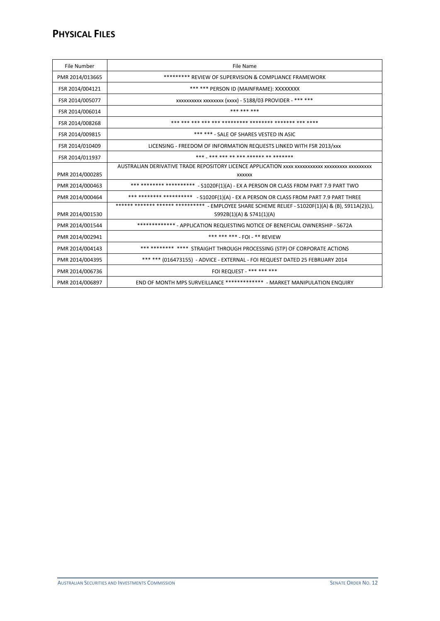| File Number     | File Name                                                                                          |  |
|-----------------|----------------------------------------------------------------------------------------------------|--|
| PMR 2014/013665 | ********* REVIEW OF SUPERVISION & COMPLIANCE FRAMEWORK                                             |  |
| FSR 2014/004121 | *** *** PERSON ID (MAINFRAME): XXXXXXXX                                                            |  |
| FSR 2014/005077 | xxxxxxxxx xxxxxxx (xxxx) - 5188/03 PROVIDER - *** ***                                              |  |
| FSR 2014/006014 | *** *** ***                                                                                        |  |
| FSR 2014/008268 | *** *** ********** ******** ****** *** *** ***                                                     |  |
| FSR 2014/009815 | *** *** - SALE OF SHARES VESTED IN ASIC                                                            |  |
| FSR 2014/010409 | LICENSING - FREEDOM OF INFORMATION REQUESTS LINKED WITH FSR 2013/xxx                               |  |
| FSR 2014/011937 | *** *** *** ** *** ******* ** *******                                                              |  |
|                 | AUSTRALIAN DERIVATIVE TRADE REPOSITORY LICENCE APPLICATION XXXX XXXXXXXXXX XXXXXXXXX XXXXXXXXX     |  |
| PMR 2014/000285 | <b>XXXXXX</b>                                                                                      |  |
| PMR 2014/000463 | *** ******** ********* * - S1020F(1)(A) - EX A PERSON OR CLASS FROM PART 7.9 PART TWO              |  |
| PMR 2014/000464 | *** ******** ***********<br>- S1020F(1)(A) - EX A PERSON OR CLASS FROM PART 7.9 PART THREE         |  |
|                 | ****** ******* ****** ********** - EMPLOYEE SHARE SCHEME RELIEF - S1020F(1)(A) & (B), S911A(2)(L), |  |
| PMR 2014/001530 | S992B(1)(A) & S741(1)(A)                                                                           |  |
| PMR 2014/001544 | ************* - APPLICATION REQUESTING NOTICE OF BENEFICIAL OWNERSHIP - S672A                      |  |
| PMR 2014/002941 | *** *** *** - FOI - ** REVIEW                                                                      |  |
| PMR 2014/004143 | *** ******** **** STRAIGHT THROUGH PROCESSING (STP) OF CORPORATE ACTIONS                           |  |
| PMR 2014/004395 | ****** (016473155) - ADVICE - EXTERNAL - FOI REQUEST DATED 25 FEBRUARY 2014                        |  |
| PMR 2014/006736 | FOI REQUEST - *** *** ***                                                                          |  |
| PMR 2014/006897 | END OF MONTH MPS SURVEILLANCE ************ - MARKET MANIPULATION ENQUIRY                           |  |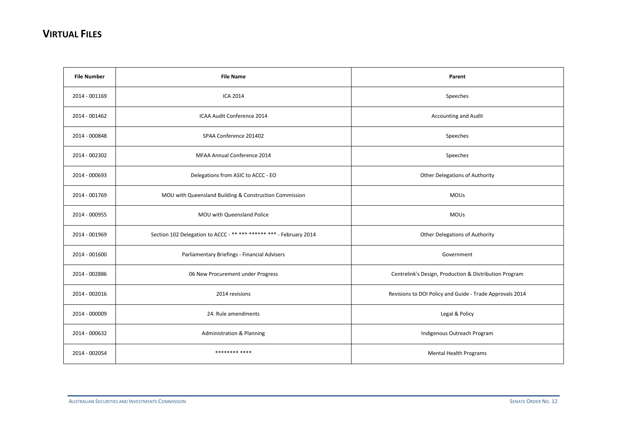| <b>File Number</b> | <b>File Name</b>                                                   | Parent                                                   |
|--------------------|--------------------------------------------------------------------|----------------------------------------------------------|
| 2014 - 001169      | <b>ICA 2014</b>                                                    | Speeches                                                 |
| 2014 - 001462      | ICAA Audit Conference 2014                                         | Accounting and Audit                                     |
| 2014 - 000848      | SPAA Conference 201402                                             | Speeches                                                 |
| 2014 - 002302      | MFAA Annual Conference 2014                                        | Speeches                                                 |
| 2014 - 000693      | Delegations from ASIC to ACCC - EO                                 | Other Delegations of Authority                           |
| 2014 - 001769      | MOU with Queensland Building & Construction Commission             | <b>MOUs</b>                                              |
| 2014 - 000955      | MOU with Queensland Police                                         | <b>MOUs</b>                                              |
| 2014 - 001969      | Section 102 Delegation to ACCC - ** *** ****** *** - February 2014 | Other Delegations of Authority                           |
| 2014 - 001600      | Parliamentary Briefings - Financial Advisers                       | Government                                               |
| 2014 - 002886      | 06 New Procurement under Progress                                  | Centrelink's Design, Production & Distribution Program   |
| 2014 - 002016      | 2014 revisions                                                     | Revisions to DOI Policy and Guide - Trade Approvals 2014 |
| 2014 - 000009      | 24. Rule amendments                                                | Legal & Policy                                           |
| 2014 - 000632      | Administration & Planning                                          | Indigenous Outreach Program                              |
| 2014 - 002054      | ******** ****                                                      | <b>Mental Health Programs</b>                            |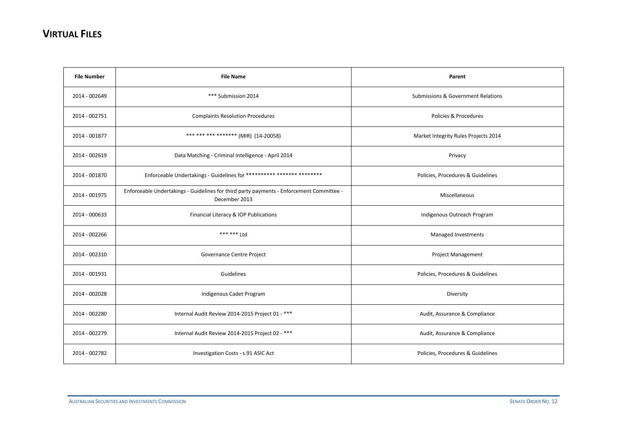| <b>File Number</b> | <b>File Name</b>                                                                                          | Parent                                        |
|--------------------|-----------------------------------------------------------------------------------------------------------|-----------------------------------------------|
| 2014 - 002649      | *** Submission 2014                                                                                       | <b>Submissions &amp; Government Relations</b> |
| 2014 - 002751      | <b>Complaints Resolution Procedures</b>                                                                   | Policies & Procedures                         |
| 2014 - 001877      | *** *** *** ******* (MIR) (14-20058)                                                                      | Market Integrity Rules Projects 2014          |
| 2014 - 002619      | Data Matching - Criminal Intelligence - April 2014                                                        | Privacy                                       |
| 2014 - 001870      | Enforceable Undertakings - Guidelines for ********* ******* *********                                     | Policies, Procedures & Guidelines             |
| 2014 - 001975      | Enforceable Undertakings - Guidelines for third party payments - Enforcement Committee -<br>December 2013 | Miscellaneous                                 |
| 2014 - 000633      | Financial Literacy & IOP Publications                                                                     | Indigenous Outreach Program                   |
| 2014 - 002266      | *** *** Ltd                                                                                               | Managed Investments                           |
| 2014 - 002310      | Governance Centre Project                                                                                 | <b>Project Management</b>                     |
| 2014 - 001931      | Guidelines                                                                                                | Policies, Procedures & Guidelines             |
| 2014 - 002028      | Indigenous Cadet Program                                                                                  | Diversity                                     |
| 2014 - 002280      | Internal Audit Review 2014-2015 Project 01 - ***                                                          | Audit, Assurance & Compliance                 |
| 2014 - 002279      | Internal Audit Review 2014-2015 Project 02 - ***                                                          | Audit, Assurance & Compliance                 |
| 2014 - 002782      | Investigation Costs - s.91 ASIC Act                                                                       | Policies, Procedures & Guidelines             |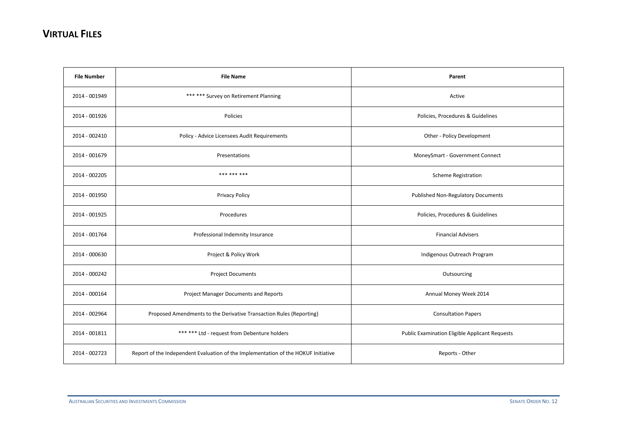| <b>File Number</b> | <b>File Name</b>                                                                   | Parent                                         |
|--------------------|------------------------------------------------------------------------------------|------------------------------------------------|
| 2014 - 001949      | ****** Survey on Retirement Planning                                               | Active                                         |
| 2014 - 001926      | Policies                                                                           | Policies, Procedures & Guidelines              |
| 2014 - 002410      | Policy - Advice Licensees Audit Requirements                                       | Other - Policy Development                     |
| 2014 - 001679      | Presentations                                                                      | MoneySmart - Government Connect                |
| 2014 - 002205      | *** *** ***                                                                        | <b>Scheme Registration</b>                     |
| 2014 - 001950      | <b>Privacy Policy</b>                                                              | Published Non-Regulatory Documents             |
| 2014 - 001925      | Procedures                                                                         | Policies, Procedures & Guidelines              |
| 2014 - 001764      | Professional Indemnity Insurance                                                   | <b>Financial Advisers</b>                      |
| 2014 - 000630      | Project & Policy Work                                                              | Indigenous Outreach Program                    |
| 2014 - 000242      | <b>Project Documents</b>                                                           | Outsourcing                                    |
| 2014 - 000164      | Project Manager Documents and Reports                                              | Annual Money Week 2014                         |
| 2014 - 002964      | Proposed Amendments to the Derivative Transaction Rules (Reporting)                | <b>Consultation Papers</b>                     |
| 2014 - 001811      | ****** Ltd - request from Debenture holders                                        | Public Examination Eligible Applicant Requests |
| 2014 - 002723      | Report of the Independent Evaluation of the Implementation of the HOKUF Initiative | Reports - Other                                |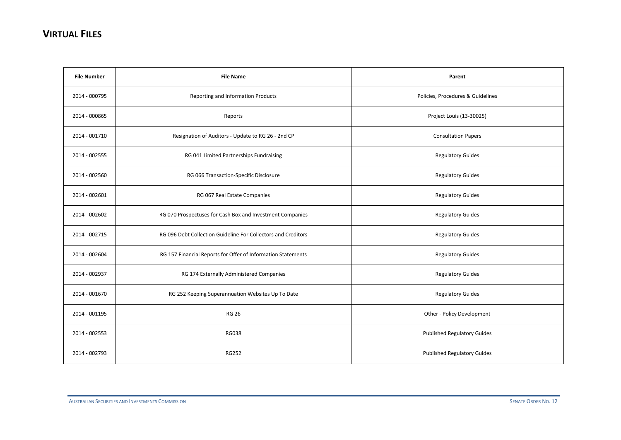| <b>File Number</b> | <b>File Name</b>                                              | Parent                             |
|--------------------|---------------------------------------------------------------|------------------------------------|
| 2014 - 000795      | <b>Reporting and Information Products</b>                     | Policies, Procedures & Guidelines  |
| 2014 - 000865      | Reports                                                       | Project Louis (13-30025)           |
| 2014 - 001710      | Resignation of Auditors - Update to RG 26 - 2nd CP            | <b>Consultation Papers</b>         |
| 2014 - 002555      | RG 041 Limited Partnerships Fundraising                       | <b>Regulatory Guides</b>           |
| 2014 - 002560      | RG 066 Transaction-Specific Disclosure                        | <b>Regulatory Guides</b>           |
| 2014 - 002601      | RG 067 Real Estate Companies                                  | <b>Regulatory Guides</b>           |
| 2014 - 002602      | RG 070 Prospectuses for Cash Box and Investment Companies     | <b>Regulatory Guides</b>           |
| 2014 - 002715      | RG 096 Debt Collection Guideline For Collectors and Creditors | <b>Regulatory Guides</b>           |
| 2014 - 002604      | RG 157 Financial Reports for Offer of Information Statements  | <b>Regulatory Guides</b>           |
| 2014 - 002937      | RG 174 Externally Administered Companies                      | <b>Regulatory Guides</b>           |
| 2014 - 001670      | RG 252 Keeping Superannuation Websites Up To Date             | <b>Regulatory Guides</b>           |
| 2014 - 001195      | <b>RG 26</b>                                                  | Other - Policy Development         |
| 2014 - 002553      | <b>RG038</b>                                                  | <b>Published Regulatory Guides</b> |
| 2014 - 002793      | <b>RG252</b>                                                  | <b>Published Regulatory Guides</b> |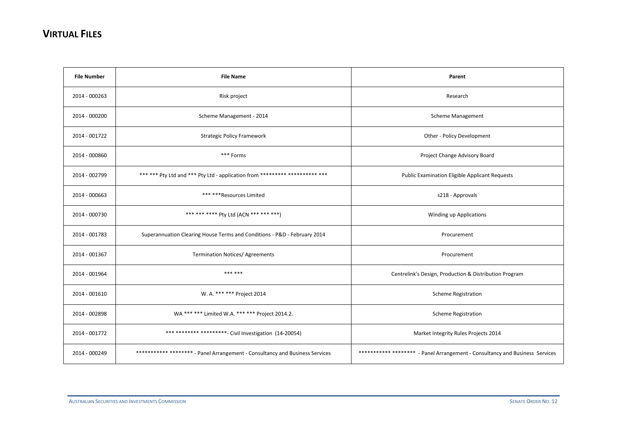| <b>File Number</b> | <b>File Name</b>                                                            | Parent                                                                      |
|--------------------|-----------------------------------------------------------------------------|-----------------------------------------------------------------------------|
| 2014 - 000263      | Risk project                                                                | Research                                                                    |
| 2014 - 000200      | Scheme Management - 2014                                                    | <b>Scheme Management</b>                                                    |
| 2014 - 001722      | <b>Strategic Policy Framework</b>                                           | Other - Policy Development                                                  |
| 2014 - 000860      | *** Forms                                                                   | Project Change Advisory Board                                               |
| 2014 - 002799      | *** *** Pty Ltd and *** Pty Ltd - application from ********* ********** *** | Public Examination Eligible Applicant Requests                              |
| 2014 - 000663      | ******Resources Limited                                                     | s218 - Approvals                                                            |
| 2014 - 000730      | *** *** **** Pty Ltd (ACN *** *** ***)                                      | Winding up Applications                                                     |
| 2014 - 001783      | Superannuation Clearing House Terms and Conditions - P&D - February 2014    | Procurement                                                                 |
| 2014 - 001367      | <b>Termination Notices/ Agreements</b>                                      | Procurement                                                                 |
| 2014 - 001964      | *** ***                                                                     | Centrelink's Design, Production & Distribution Program                      |
| 2014 - 001610      | W. A. *** *** Project 2014                                                  | <b>Scheme Registration</b>                                                  |
| 2014 - 002898      | WA *** *** Limited W.A. *** *** Project 2014.2.                             | <b>Scheme Registration</b>                                                  |
| 2014 - 001772      | *** ******** ********** - Civil Investigation (14-20054)                    | Market Integrity Rules Projects 2014                                        |
| 2014 - 000249      | ******************* - Panel Arrangement - Consultancy and Business Services | *********** ******* - Panel Arrangement - Consultancy and Business Services |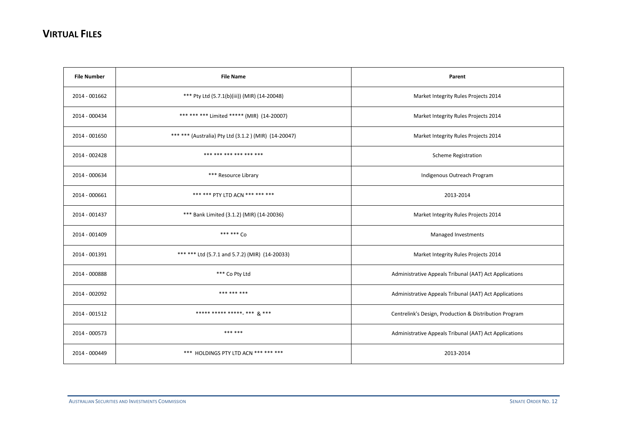| <b>File Number</b> | <b>File Name</b>                                    | Parent                                                 |
|--------------------|-----------------------------------------------------|--------------------------------------------------------|
| 2014 - 001662      | *** Pty Ltd (5.7.1(b)(iii)) (MIR) (14-20048)        | Market Integrity Rules Projects 2014                   |
| 2014 - 000434      | *** *** *** Limited ***** (MIR) (14-20007)          | Market Integrity Rules Projects 2014                   |
| 2014 - 001650      | ****** (Australia) Pty Ltd (3.1.2) (MIR) (14-20047) | Market Integrity Rules Projects 2014                   |
| 2014 - 002428      | *** *** *** *** *** ***                             | <b>Scheme Registration</b>                             |
| 2014 - 000634      | *** Resource Library                                | Indigenous Outreach Program                            |
| 2014 - 000661      | *** *** PTY LTD ACN *** *** ***                     | 2013-2014                                              |
| 2014 - 001437      | *** Bank Limited (3.1.2) (MIR) (14-20036)           | Market Integrity Rules Projects 2014                   |
| 2014 - 001409      | *** *** Co                                          | Managed Investments                                    |
| 2014 - 001391      | *** *** Ltd (5.7.1 and 5.7.2) (MIR) (14-20033)      | Market Integrity Rules Projects 2014                   |
| 2014 - 000888      | *** Co Pty Ltd                                      | Administrative Appeals Tribunal (AAT) Act Applications |
| 2014 - 002092      | *** *** ***                                         | Administrative Appeals Tribunal (AAT) Act Applications |
| 2014 - 001512      | ***** ***** ******_ *** $\alpha$ ***                | Centrelink's Design, Production & Distribution Program |
| 2014 - 000573      | *** ***                                             | Administrative Appeals Tribunal (AAT) Act Applications |
| 2014 - 000449      | *** HOLDINGS PTY LTD ACN *** *** ***                | 2013-2014                                              |